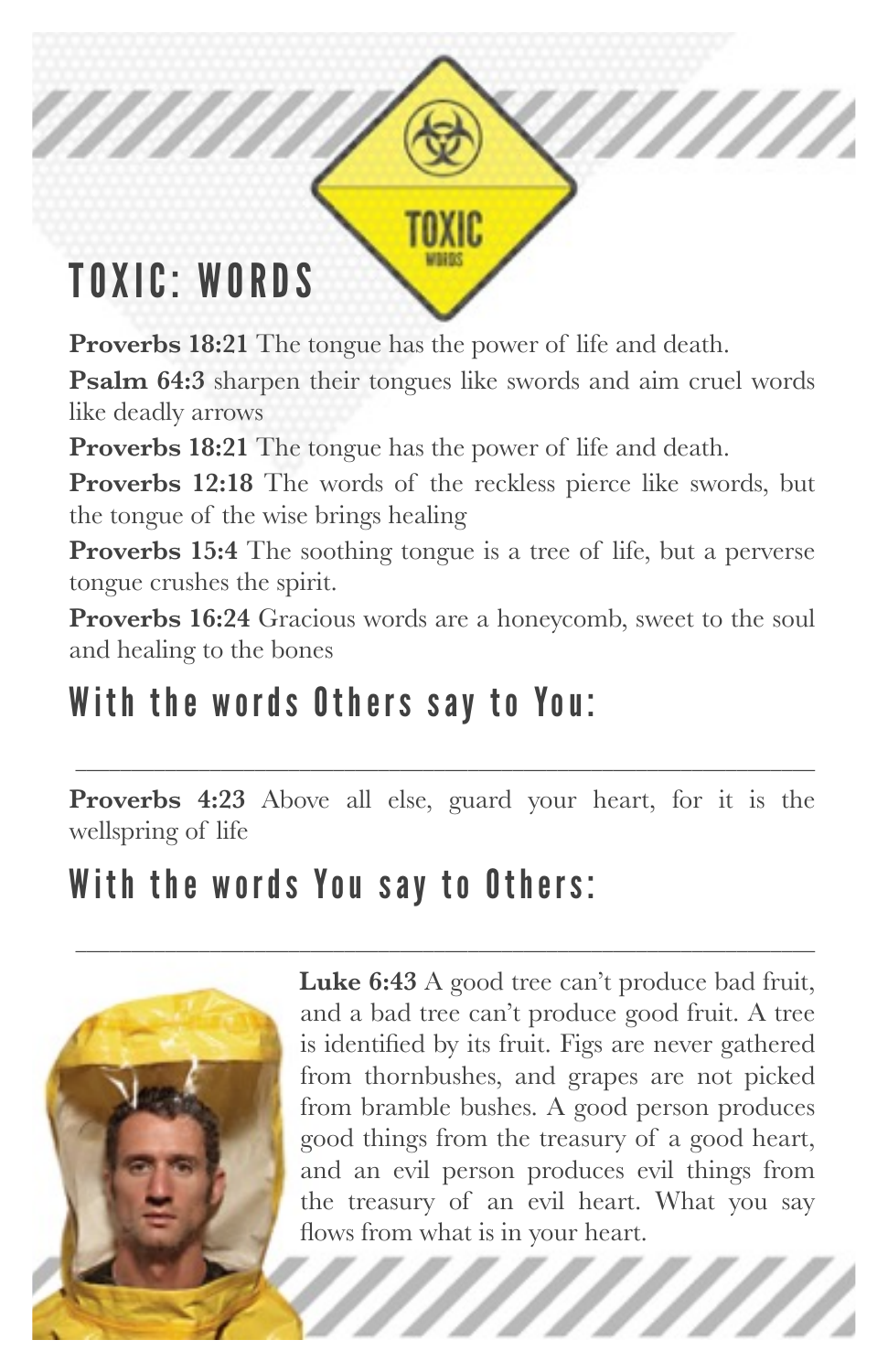## TOXIC: WORDS

**Proverbs 18:21** The tongue has the power of life and death.

**Psalm 64:3** sharpen their tongues like swords and aim cruel words like deadly arrows

ZZ.

**Proverbs 18:21** The tongue has the power of life and death.

**Proverbs 12:18** The words of the reckless pierce like swords, but the tongue of the wise brings healing

**Proverbs 15:4** The soothing tongue is a tree of life, but a perverse tongue crushes the spirit.

**Proverbs 16:24** Gracious words are a honeycomb, sweet to the soul and healing to the bones

#### With the words Others say to You:

**Proverbs 4:23** Above all else, guard your heart, for it is the wellspring of life

\_\_\_\_\_\_\_\_\_\_\_\_\_\_\_\_\_\_\_\_\_\_\_\_\_\_\_\_\_\_\_\_\_\_\_\_\_\_\_\_\_\_\_\_\_\_\_\_\_\_\_\_\_\_\_\_\_\_\_\_\_\_\_\_\_\_

\_\_\_\_\_\_\_\_\_\_\_\_\_\_\_\_\_\_\_\_\_\_\_\_\_\_\_\_\_\_\_\_\_\_\_\_\_\_\_\_\_\_\_\_\_\_\_\_\_\_\_\_\_\_\_\_\_\_\_\_\_\_\_\_\_\_

#### With the words You say to Others:



**Luke 6:43** A good tree can't produce bad fruit, and a bad tree can't produce good fruit. A tree is identified by its fruit. Figs are never gathered from thornbushes, and grapes are not picked from bramble bushes. A good person produces good things from the treasury of a good heart, and an evil person produces evil things from the treasury of an evil heart. What you say flows from what is in your heart.